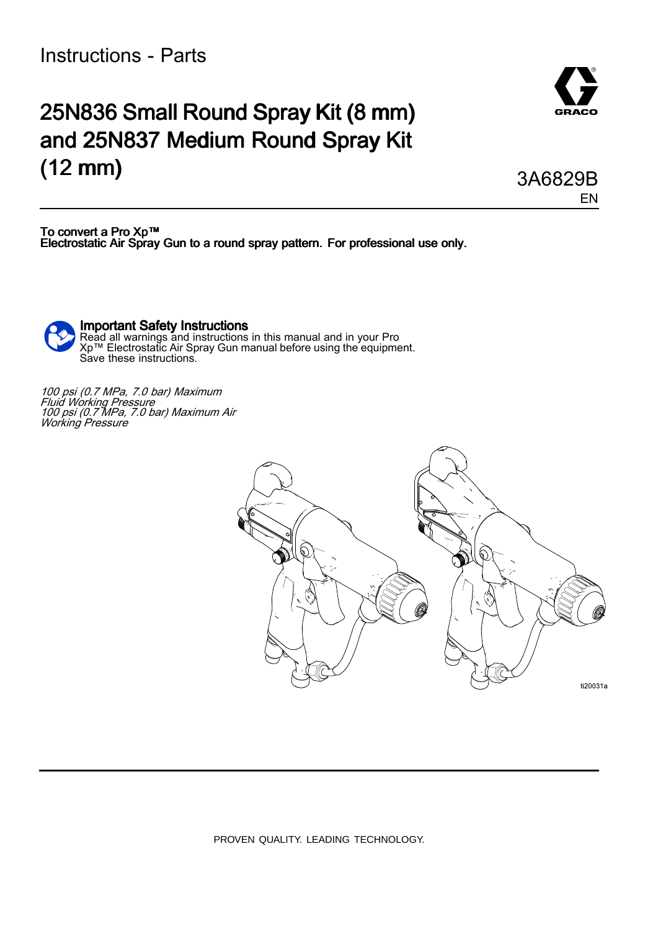Instructions - Parts

## 25N836 Small Round Spray Kit (8 mm) and 25N837 Medium Round Spray Kit (12 mm)

To convert <sup>a</sup> Pro Xp™ Electrostatic Air Spray Gun to a round spray pattern. For professional use only.

Important Safety Instructions Read all warnings and instructions in this manual and in your Pro<br>Xn™ Electrostatic Air Spray Gun manual before using the equipm Xp™ Electrostatic Air Spray Gun manual before using the equipment.<br>Save these instructions Save these instructions.

<sup>100</sup> psi (0.7 MPa, 7.0 bar) Maximum Fluid Working Pressure<br>100 psi (0 7 MPa - 7 0 b <sup>100</sup> psi (0.7 MPa, 7.0 bar) Maximum Air Working Pressure



PROVEN QUALITY. LEADING TECHNOLOGY.



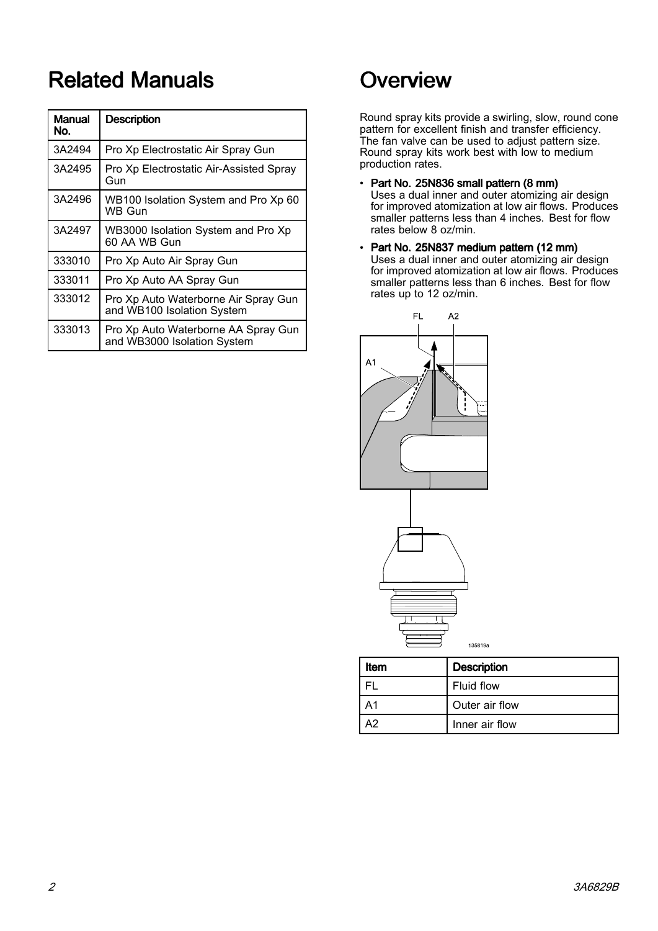# **Related Manuals**

| <b>Manual</b><br>No. | <b>Description</b>                                                 |
|----------------------|--------------------------------------------------------------------|
| 3A2494               | Pro Xp Electrostatic Air Spray Gun                                 |
| 3A2495               | Pro Xp Electrostatic Air-Assisted Spray<br>Gun                     |
| 3A2496               | WB100 Isolation System and Pro Xp 60<br><b>WB Gun</b>              |
| 3A2497               | WB3000 Isolation System and Pro Xp<br>60 AA WB Gun                 |
| 333010               | Pro Xp Auto Air Spray Gun                                          |
| 333011               | Pro Xp Auto AA Spray Gun                                           |
| 333012               | Pro Xp Auto Waterborne Air Spray Gun<br>and WB100 Isolation System |
| 333013               | Pro Xp Auto Waterborne AA Spray Gun<br>and WB3000 Isolation System |

# Overview

Round spray kits provide <sup>a</sup> swirling, slow, round cone pattern for excellent finish and transfer efficiency.<br>The fan valve can be used to adjust pattern size. The fan valve can be used to adjust pattern size. Round spray kits work best with low to medium production rates.

- Part No. 25N836 small pattern (8 mm) Uses <sup>a</sup> dual inner and outer atomizing air design for improved atomization at low air flows. Produces smaller patterns less than 4 inches. Best for flow rates below <sup>8</sup> oz/min.
- Part No. 25N837 medium pattern (12 mm)<br>Lises a dual inner and outer atomizing air. Uses <sup>a</sup> dual inner and outer atomizing air design for improved atomization at low air flows. Produces smaller patterns less than 6 inches. Best for flow rates up to <sup>12</sup> oz/min.



| <b>Item</b> | <b>Description</b> |  |  |
|-------------|--------------------|--|--|
|             | Fluid flow         |  |  |
| Α1          | Outer air flow     |  |  |
| А2          | Inner air flow     |  |  |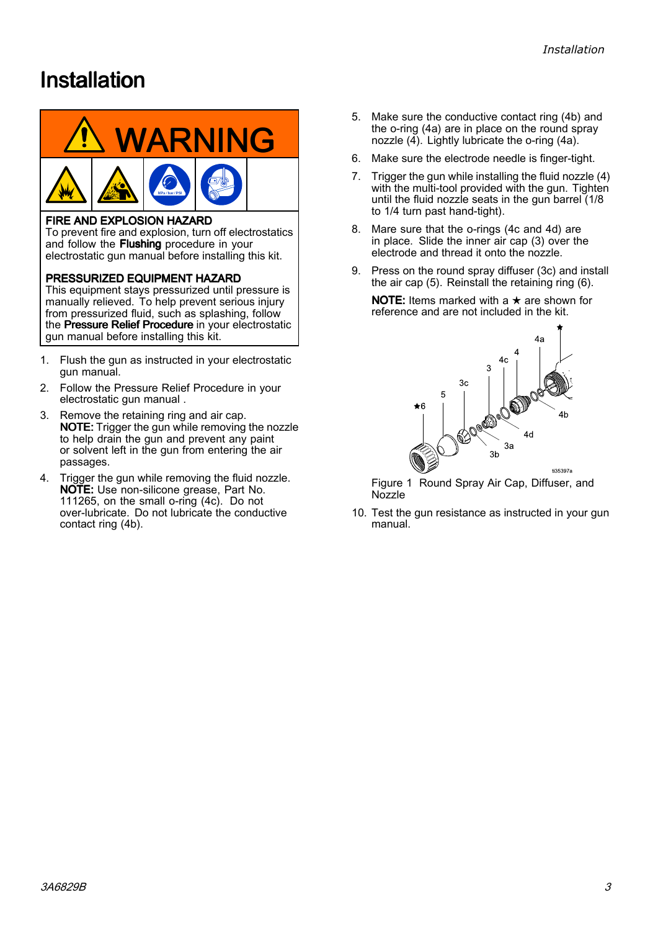## <span id="page-2-0"></span>**Installation**



### **FIRE AND EXPLOSION HAZARD**

To prevent fire and explosion, turn off electrostatics and follow the Flushing procedure in your electrostatic gun manual before installing this kit.

PRESSURIZED EQUIPMENT HAZARD

This equipment stays pressurized until pressure is manually relieved. To help prevent serious injury from pressurized fluid, such as splashing, follow the Pressure Relief Procedure in your electrostatic gun manual before installing this kit.

- 1. Flush the gun as instructed in your electrostatic gun manual.
- 2. Follow the Pressure Relief Procedure in your electrostatic gun manual .
- 3. Remove the retaining ring and air cap. NOTE: Trigger the gun while removing the nozzle to help drain the gun and prevent any paint or solvent left in the gun from entering the air passages.
- 4. Trigger the gun while removing the fluid nozzle. NOTE: Use non-silicone grease, Part No. 111265, on the small o-ring (4c). Do not over-lubricate. Do not lubricate the conductive contact ring (4b).
- 5. Make sure the conductive contact ring (4b) and the o-ring (4a) are in place on the round spray nozzle  $(\tilde{4})$ . Lightly lubricate the o-ring  $(4a)$ .
- 6. Make sure the electrode needle is finger-tight.
- 7. Trigger the gun while installing the fluid nozzle (4) with the multi-tool provided with the gun. Tighten until the fluid nozzle seats in the gun barrel (1/8 to 1/4 turn past hand-tight).
- 8. Mare sure that the o-rings (4c and 4d) are in place. Slide the inner air cap (3) over the electrode and thread it onto the nozzle.
- 9. Press on the round spray diffuser (3c) and install the air cap (5). Reinstall the retaining ring (6).

**NOTE:** Items marked with a  $\star$  are shown for reference and are not included in the kit.



Figure <sup>1</sup> Round Spray Air Cap, Diffuser, and **Nozzle** 

10. Test the gun resistance as instructed in your gun manual.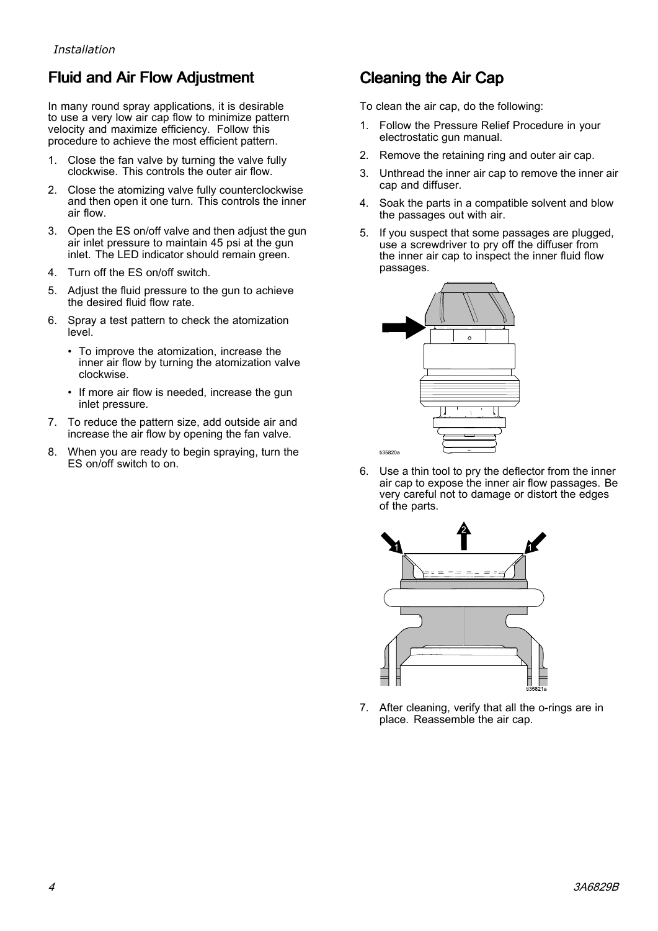## Fluid and Air Flow Adjustment

In many round spray applications, it is desirable to use <sup>a</sup> very low air cap flow to minimize pattern velocity and maximize efficiency. Follow this procedure to achieve the most efficient pattern.

- 1. Close the fan valve by turning the valve fully clockwise. This controls the outer air flow.
- 2. Close the atomizing valve fully counterclockwise and then open it one turn. This controls the inner air flow.
- 3. Open the ES on/off valve and then adjust the gun air inlet pressure to maintain <sup>45</sup> psi at the gun inlet. The LED indicator should remain green.
- 4. Turn off the ES on/off switch.
- 5. Adjust the fluid pressure to the gun to achieve the desired fluid flow rate.
- 6. Spray <sup>a</sup> test pattern to check the atomization level.
	- To improve the atomization, increase the<br>linner air flow by turning the atomization y inner air flow by turning the atomization valve clockwise.
	- If more air flow is needed, increase the gun inlet pressure.
- 7. To reduce the pattern size, add outside air and increase the air flow by opening the fan valve.
- 8. When you are ready to begin spraying, turn the ES on/off switch to on.

## Cleaning the Air Cap

To clean the air cap, do the following:

- 1. Follow the Pressure Relief Procedure in your electrostatic gun manual.
- 2. Remove the retaining ring and outer air cap.
- 3. Unthread the inner air cap to remove the inner air cap and diffuser.
- 4. Soak the parts in <sup>a</sup> compatible solvent and blow the passages out with air.
- 5. If you suspect that some passages are plugged, use <sup>a</sup> screwdriver to pry off the diffuser from the inner air cap to inspect the inner fluid flow passages.



6. Use <sup>a</sup> thin tool to pry the deflector from the inner air cap to expose the inner air flow passages. Be very careful not to damage or distort the edges of the parts.



7. After cleaning, verify that all the o-rings are in place. Reassemble the air cap.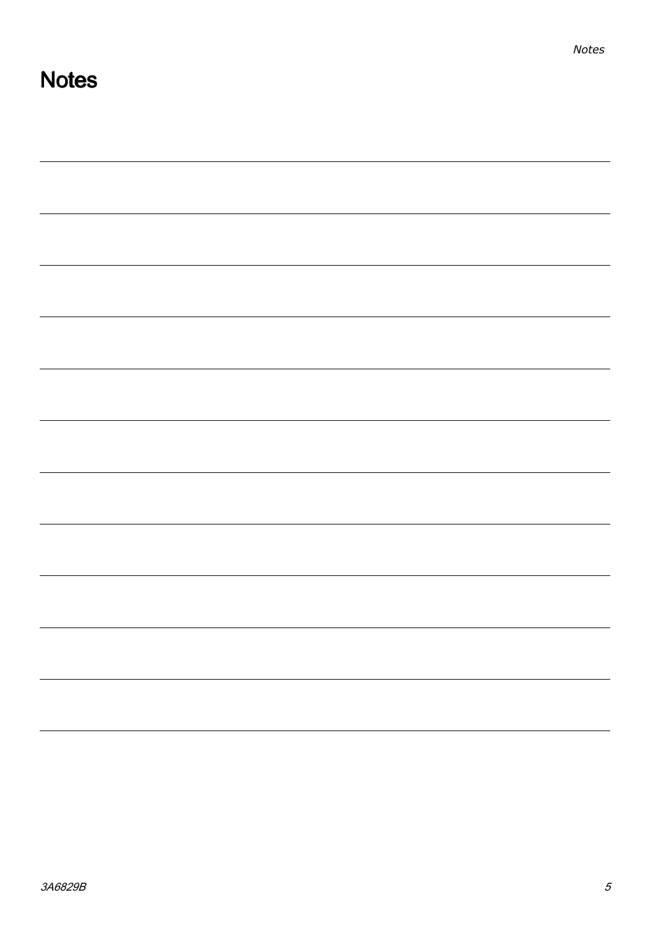| <u> 1989 - Andrea Santa Andrea Andrea Andrea Andrea Andrea Andrea Andrea Andrea Andrea Andrea Andrea Andrea Andr</u> |  |  |
|----------------------------------------------------------------------------------------------------------------------|--|--|
|                                                                                                                      |  |  |
|                                                                                                                      |  |  |
|                                                                                                                      |  |  |
| <u> 1989 - Jan James James Barnett, fransk politik (d. 1989)</u>                                                     |  |  |
|                                                                                                                      |  |  |
|                                                                                                                      |  |  |
|                                                                                                                      |  |  |
|                                                                                                                      |  |  |

**Notes**